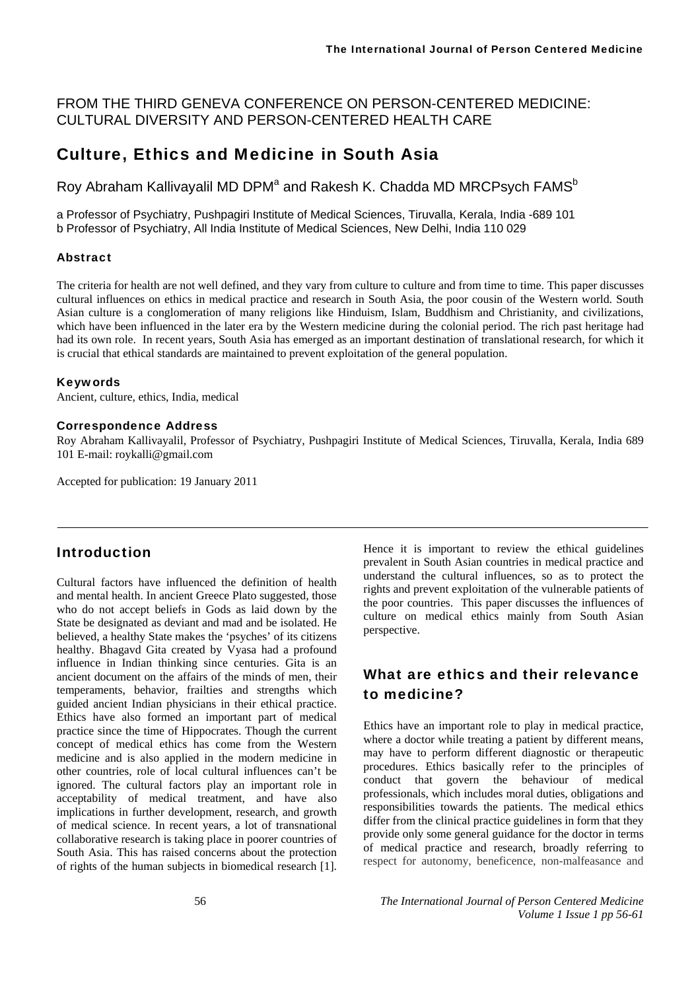FROM THE THIRD GENEVA CONFERENCE ON PERSON-CENTERED MEDICINE: CULTURAL DIVERSITY AND PERSON-CENTERED HEALTH CARE

### Culture, Ethics and Medicine in South Asia

Roy Abraham Kallivayalil MD DPM<sup>a</sup> and Rakesh K. Chadda MD MRCPsych FAMS<sup>b</sup>

a Professor of Psychiatry, Pushpagiri Institute of Medical Sciences, Tiruvalla, Kerala, India -689 101 b Professor of Psychiatry, All India Institute of Medical Sciences, New Delhi, India 110 029

#### Abstract

The criteria for health are not well defined, and they vary from culture to culture and from time to time. This paper discusses cultural influences on ethics in medical practice and research in South Asia, the poor cousin of the Western world. South Asian culture is a conglomeration of many religions like Hinduism, Islam, Buddhism and Christianity, and civilizations, which have been influenced in the later era by the Western medicine during the colonial period. The rich past heritage had had its own role. In recent years, South Asia has emerged as an important destination of translational research, for which it is crucial that ethical standards are maintained to prevent exploitation of the general population.

#### Keywords

Ancient, culture, ethics, India, medical

#### Correspondence Address

Roy Abraham Kallivayalil, Professor of Psychiatry, Pushpagiri Institute of Medical Sciences, Tiruvalla, Kerala, India 689 101 E-mail: roykalli@gmail.com

Accepted for publication: 19 January 2011

#### Introduction

Cultural factors have influenced the definition of health and mental health. In ancient Greece Plato suggested, those who do not accept beliefs in Gods as laid down by the State be designated as deviant and mad and be isolated. He believed, a healthy State makes the 'psyches' of its citizens healthy. Bhagavd Gita created by Vyasa had a profound influence in Indian thinking since centuries. Gita is an ancient document on the affairs of the minds of men, their temperaments, behavior, frailties and strengths which guided ancient Indian physicians in their ethical practice. Ethics have also formed an important part of medical practice since the time of Hippocrates. Though the current concept of medical ethics has come from the Western medicine and is also applied in the modern medicine in other countries, role of local cultural influences can't be ignored. The cultural factors play an important role in acceptability of medical treatment, and have also implications in further development, research, and growth of medical science. In recent years, a lot of transnational collaborative research is taking place in poorer countries of South Asia. This has raised concerns about the protection of rights of the human subjects in biomedical research [1].

Hence it is important to review the ethical guidelines prevalent in South Asian countries in medical practice and understand the cultural influences, so as to protect the rights and prevent exploitation of the vulnerable patients of the poor countries. This paper discusses the influences of culture on medical ethics mainly from South Asian perspective.

# What are ethics and their relevance to medicine?

Ethics have an important role to play in medical practice, where a doctor while treating a patient by different means, may have to perform different diagnostic or therapeutic procedures. Ethics basically refer to the principles of conduct that govern the behaviour of medical professionals, which includes moral duties, obligations and responsibilities towards the patients. The medical ethics differ from the clinical practice guidelines in form that they provide only some general guidance for the doctor in terms of medical practice and research, broadly referring to respect for autonomy, beneficence, non-malfeasance and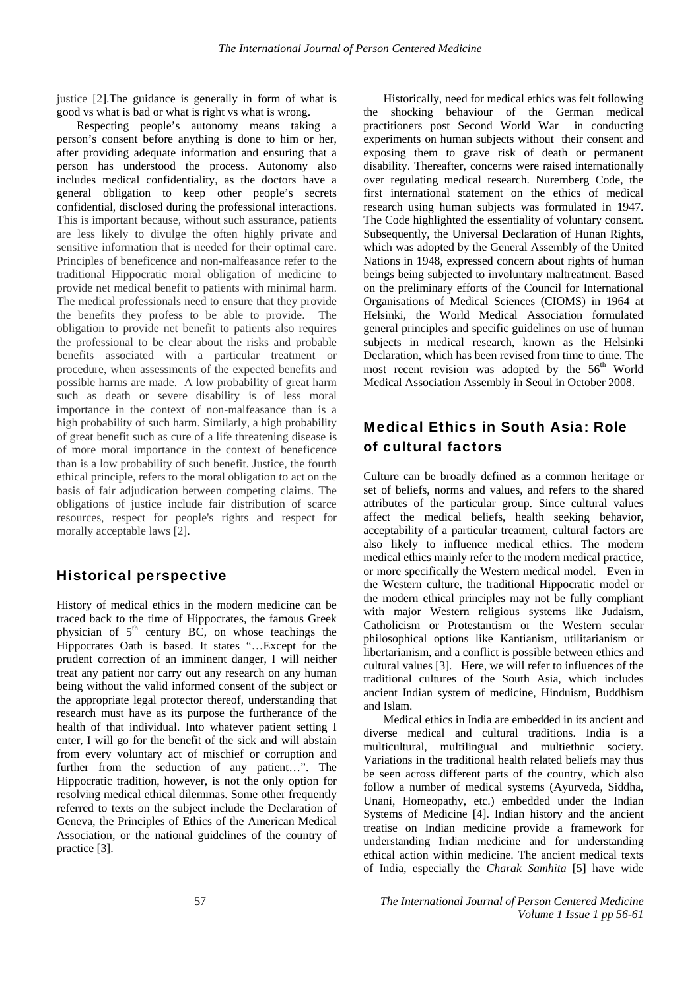justice [2]. The guidance is generally in form of what is good vs what is bad or what is right vs what is wrong.

Respecting people's autonomy means taking a person's consent before anything is done to him or her, after providing adequate information and ensuring that a person has understood the process. Autonomy also includes medical confidentiality, as the doctors have a general obligation to keep other people's secrets confidential, disclosed during the professional interactions. This is important because, without such assurance, patients are less likely to divulge the often highly private and sensitive information that is needed for their optimal care. Principles of beneficence and non-malfeasance refer to the traditional Hippocratic moral obligation of medicine to provide net medical benefit to patients with minimal harm. The medical professionals need to ensure that they provide the benefits they profess to be able to provide. The obligation to provide net benefit to patients also requires the professional to be clear about the risks and probable benefits associated with a particular treatment or procedure, when assessments of the expected benefits and possible harms are made. A low probability of great harm such as death or severe disability is of less moral importance in the context of non-malfeasance than is a high probability of such harm. Similarly, a high probability of great benefit such as cure of a life threatening disease is of more moral importance in the context of beneficence than is a low probability of such benefit. Justice, the fourth ethical principle, refers to the moral obligation to act on the basis of fair adjudication between competing claims. The obligations of justice include fair distribution of scarce resources, respect for people's rights and respect for morally acceptable laws [2].

#### Historical perspective

History of medical ethics in the modern medicine can be traced back to the time of Hippocrates, the famous Greek physician of  $5<sup>th</sup>$  century BC, on whose teachings the Hippocrates Oath is based. It states "…Except for the prudent correction of an imminent danger, I will neither treat any patient nor carry out any research on any human being without the valid informed consent of the subject or the appropriate legal protector thereof, understanding that research must have as its purpose the furtherance of the health of that individual. Into whatever patient setting I enter, I will go for the benefit of the sick and will abstain from every voluntary act of mischief or corruption and further from the seduction of any patient…". The Hippocratic tradition, however, is not the only option for resolving medical ethical dilemmas. Some other frequently referred to texts on the subject include the Declaration of Geneva, the Principles of Ethics of the American Medical Association, or the national guidelines of the country of practice [3].

Historically, need for medical ethics was felt following the shocking behaviour of the German medical practitioners post Second World War in conducting experiments on human subjects without their consent and exposing them to grave risk of death or permanent disability. Thereafter, concerns were raised internationally over regulating medical research. Nuremberg Code, the first international statement on the ethics of medical research using human subjects was formulated in 1947. The Code highlighted the essentiality of voluntary consent. Subsequently, the Universal Declaration of Hunan Rights, which was adopted by the General Assembly of the United Nations in 1948, expressed concern about rights of human beings being subjected to involuntary maltreatment. Based on the preliminary efforts of the Council for International Organisations of Medical Sciences (CIOMS) in 1964 at Helsinki, the World Medical Association formulated general principles and specific guidelines on use of human subjects in medical research, known as the Helsinki Declaration, which has been revised from time to time. The most recent revision was adopted by the  $56<sup>th</sup>$  World Medical Association Assembly in Seoul in October 2008.

## Medical Ethics in South Asia: Role of cultural factors

Culture can be broadly defined as a common heritage or set of beliefs, norms and values, and refers to the shared attributes of the particular group. Since cultural values affect the medical beliefs, health seeking behavior, acceptability of a particular treatment, cultural factors are also likely to influence medical ethics. The modern medical ethics mainly refer to the modern medical practice, or more specifically the Western medical model. Even in the Western culture, the traditional Hippocratic model or the modern ethical principles may not be fully compliant with major Western religious systems like Judaism, Catholicism or Protestantism or the Western secular philosophical options like Kantianism, utilitarianism or libertarianism, and a conflict is possible between ethics and cultural values [3]. Here, we will refer to influences of the traditional cultures of the South Asia, which includes ancient Indian system of medicine, Hinduism, Buddhism and Islam.

Medical ethics in India are embedded in its ancient and diverse medical and cultural traditions. India is a multicultural, multilingual and multiethnic society. Variations in the traditional health related beliefs may thus be seen across different parts of the country, which also follow a number of medical systems (Ayurveda, Siddha, Unani, Homeopathy, etc.) embedded under the Indian Systems of Medicine [4]. Indian history and the ancient treatise on Indian medicine provide a framework for understanding Indian medicine and for understanding ethical action within medicine. The ancient medical texts of India, especially the *Charak Samhita* [5] have wide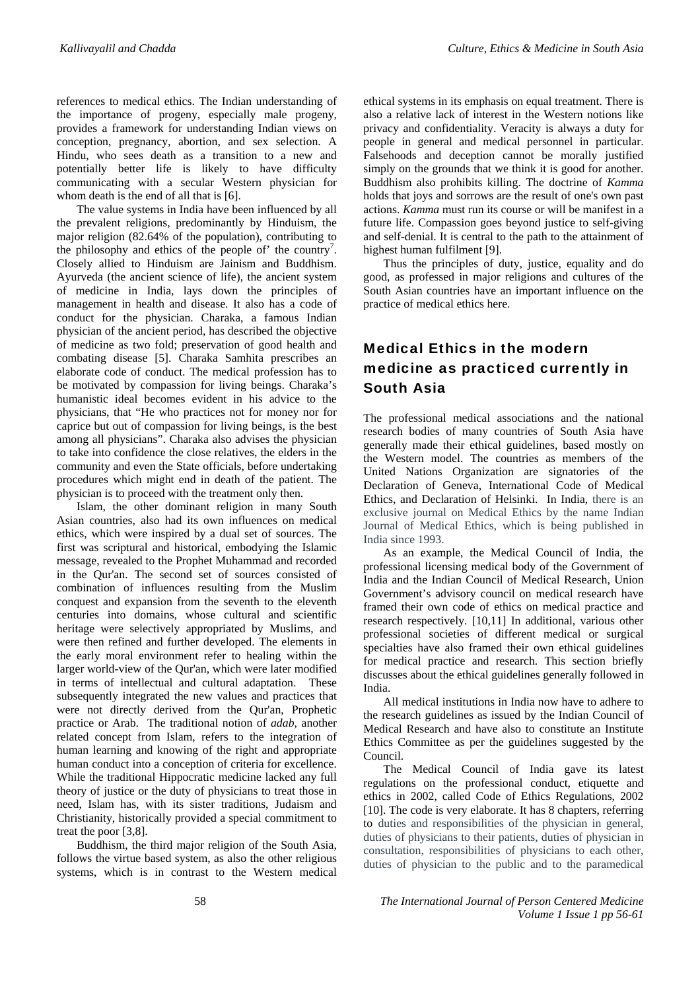references to medical ethics. The Indian understanding of the importance of progeny, especially male progeny, provides a framework for understanding Indian views on conception, pregnancy, abortion, and sex selection. A Hindu, who sees death as a transition to a new and potentially better life is likely to have difficulty communicating with a secular Western physician for whom death is the end of all that is [6].

The value systems in India have been influenced by all the prevalent religions, predominantly by Hinduism, the major religion (82.64% of the population), contributing to the philosophy and ethics of the people of' the country<sup>7</sup>. Closely allied to Hinduism are Jainism and Buddhism. Ayurveda (the ancient science of life), the ancient system of medicine in India, lays down the principles of management in health and disease. It also has a code of conduct for the physician. Charaka, a famous Indian physician of the ancient period, has described the objective of medicine as two fold; preservation of good health and combating disease [5]. Charaka Samhita prescribes an elaborate code of conduct. The medical profession has to be motivated by compassion for living beings. Charaka's humanistic ideal becomes evident in his advice to the physicians, that "He who practices not for money nor for caprice but out of compassion for living beings, is the best among all physicians". Charaka also advises the physician to take into confidence the close relatives, the elders in the community and even the State officials, before undertaking procedures which might end in death of the patient. The physician is to proceed with the treatment only then.

Islam, the other dominant religion in many South Asian countries, also had its own influences on medical ethics, which were inspired by a dual set of sources. The first was scriptural and historical, embodying the Islamic message, revealed to the Prophet Muhammad and recorded in the Qur'an. The second set of sources consisted of combination of influences resulting from the Muslim conquest and expansion from the seventh to the eleventh centuries into domains, whose cultural and scientific heritage were selectively appropriated by Muslims, and were then refined and further developed. The elements in the early moral environment refer to healing within the larger world-view of the Qur'an, which were later modified in terms of intellectual and cultural adaptation. These subsequently integrated the new values and practices that were not directly derived from the Qur'an, Prophetic practice or Arab. The traditional notion of *adab,* another related concept from Islam, refers to the integration of human learning and knowing of the right and appropriate human conduct into a conception of criteria for excellence. While the traditional Hippocratic medicine lacked any full theory of justice or the duty of physicians to treat those in need, Islam has, with its sister traditions, Judaism and Christianity, historically provided a special commitment to treat the poor [3,8].

Buddhism, the third major religion of the South Asia, follows the virtue based system, as also the other religious systems, which is in contrast to the Western medical ethical systems in its emphasis on equal treatment. There is also a relative lack of interest in the Western notions like privacy and confidentiality. Veracity is always a duty for people in general and medical personnel in particular. Falsehoods and deception cannot be morally justified simply on the grounds that we think it is good for another. Buddhism also prohibits killing. The doctrine of *Kamma*  holds that joys and sorrows are the result of one's own past actions. *Kamma* must run its course or will be manifest in a future life. Compassion goes beyond justice to self-giving and self-denial. It is central to the path to the attainment of highest human fulfilment [9].

Thus the principles of duty, justice, equality and do good, as professed in major religions and cultures of the South Asian countries have an important influence on the practice of medical ethics here.

## Medical Ethics in the modern medicine as practiced currently in South Asia

The professional medical associations and the national research bodies of many countries of South Asia have generally made their ethical guidelines, based mostly on the Western model. The countries as members of the United Nations Organization are signatories of the Declaration of Geneva, International Code of Medical Ethics, and Declaration of Helsinki. In India, there is an exclusive journal on Medical Ethics by the name Indian Journal of Medical Ethics, which is being published in India since 1993.

As an example, the Medical Council of India, the professional licensing medical body of the Government of India and the Indian Council of Medical Research, Union Government's advisory council on medical research have framed their own code of ethics on medical practice and research respectively. [10,11] In additional, various other professional societies of different medical or surgical specialties have also framed their own ethical guidelines for medical practice and research. This section briefly discusses about the ethical guidelines generally followed in India.

All medical institutions in India now have to adhere to the research guidelines as issued by the Indian Council of Medical Research and have also to constitute an Institute Ethics Committee as per the guidelines suggested by the Council.

The Medical Council of India gave its latest regulations on the professional conduct, etiquette and ethics in 2002, called Code of Ethics Regulations, 2002 [10]. The code is very elaborate. It has 8 chapters, referring to duties and responsibilities of the physician in general, duties of physicians to their patients, duties of physician in consultation, responsibilities of physicians to each other, duties of physician to the public and to the paramedical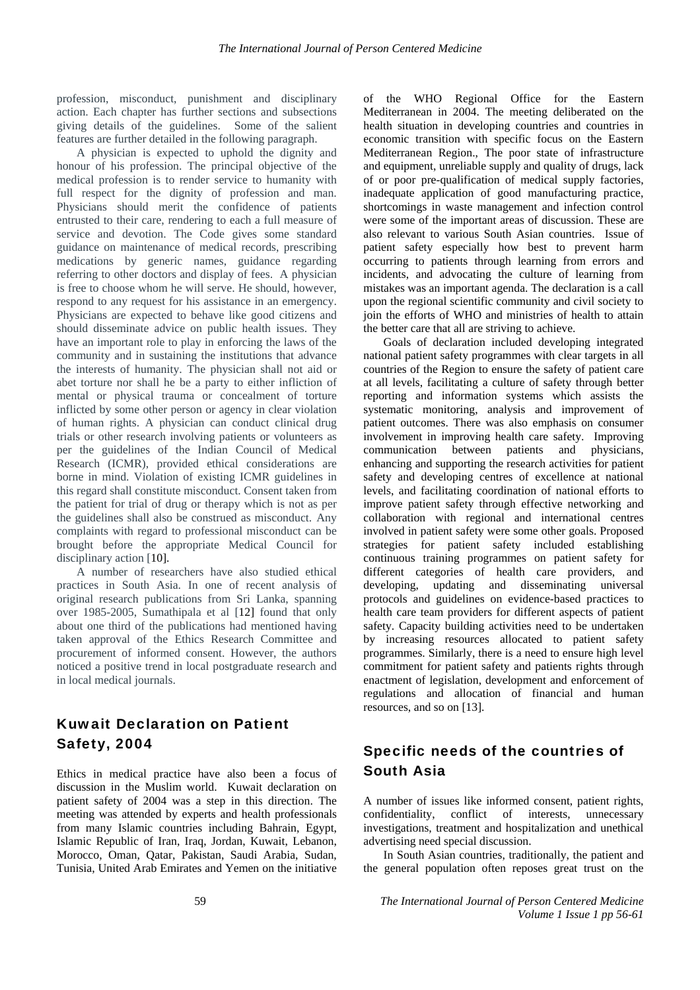profession, misconduct, punishment and disciplinary action. Each chapter has further sections and subsections giving details of the guidelines. Some of the salient features are further detailed in the following paragraph.

A physician is expected to uphold the dignity and honour of his profession. The principal objective of the medical profession is to render service to humanity with full respect for the dignity of profession and man. Physicians should merit the confidence of patients entrusted to their care, rendering to each a full measure of service and devotion. The Code gives some standard guidance on maintenance of medical records, prescribing medications by generic names, guidance regarding referring to other doctors and display of fees. A physician is free to choose whom he will serve. He should, however, respond to any request for his assistance in an emergency. Physicians are expected to behave like good citizens and should disseminate advice on public health issues. They have an important role to play in enforcing the laws of the community and in sustaining the institutions that advance the interests of humanity. The physician shall not aid or abet torture nor shall he be a party to either infliction of mental or physical trauma or concealment of torture inflicted by some other person or agency in clear violation of human rights. A physician can conduct clinical drug trials or other research involving patients or volunteers as per the guidelines of the Indian Council of Medical Research (ICMR), provided ethical considerations are borne in mind. Violation of existing ICMR guidelines in this regard shall constitute misconduct. Consent taken from the patient for trial of drug or therapy which is not as per the guidelines shall also be construed as misconduct. Any complaints with regard to professional misconduct can be brought before the appropriate Medical Council for disciplinary action [10].

A number of researchers have also studied ethical practices in South Asia. In one of recent analysis of original research publications from Sri Lanka, spanning over 1985-2005, Sumathipala et al [12] found that only about one third of the publications had mentioned having taken approval of the Ethics Research Committee and procurement of informed consent. However, the authors noticed a positive trend in local postgraduate research and in local medical journals.

## Kuwait Declaration on Patient Safety, 2004

Ethics in medical practice have also been a focus of discussion in the Muslim world. Kuwait declaration on patient safety of 2004 was a step in this direction. The meeting was attended by experts and health professionals from many Islamic countries including Bahrain, Egypt, Islamic Republic of Iran, Iraq, Jordan, Kuwait, Lebanon, Morocco, Oman, Qatar, Pakistan, Saudi Arabia, Sudan, Tunisia, United Arab Emirates and Yemen on the initiative

of the WHO Regional Office for the Eastern Mediterranean in 2004. The meeting deliberated on the health situation in developing countries and countries in economic transition with specific focus on the Eastern Mediterranean Region., The poor state of infrastructure and equipment, unreliable supply and quality of drugs, lack of or poor pre-qualification of medical supply factories, inadequate application of good manufacturing practice, shortcomings in waste management and infection control were some of the important areas of discussion. These are also relevant to various South Asian countries. Issue of patient safety especially how best to prevent harm occurring to patients through learning from errors and incidents, and advocating the culture of learning from mistakes was an important agenda. The declaration is a call upon the regional scientific community and civil society to join the efforts of WHO and ministries of health to attain the better care that all are striving to achieve.

Goals of declaration included developing integrated national patient safety programmes with clear targets in all countries of the Region to ensure the safety of patient care at all levels, facilitating a culture of safety through better reporting and information systems which assists the systematic monitoring, analysis and improvement of patient outcomes. There was also emphasis on consumer involvement in improving health care safety. Improving communication between patients and physicians, enhancing and supporting the research activities for patient safety and developing centres of excellence at national levels, and facilitating coordination of national efforts to improve patient safety through effective networking and collaboration with regional and international centres involved in patient safety were some other goals. Proposed strategies for patient safety included establishing continuous training programmes on patient safety for different categories of health care providers, and developing, updating and disseminating universal protocols and guidelines on evidence-based practices to health care team providers for different aspects of patient safety. Capacity building activities need to be undertaken by increasing resources allocated to patient safety programmes. Similarly, there is a need to ensure high level commitment for patient safety and patients rights through enactment of legislation, development and enforcement of regulations and allocation of financial and human resources, and so on [13].

## Specific needs of the countries of South Asia

A number of issues like informed consent, patient rights, confidentiality, conflict of interests, unnecessary investigations, treatment and hospitalization and unethical advertising need special discussion.

In South Asian countries, traditionally, the patient and the general population often reposes great trust on the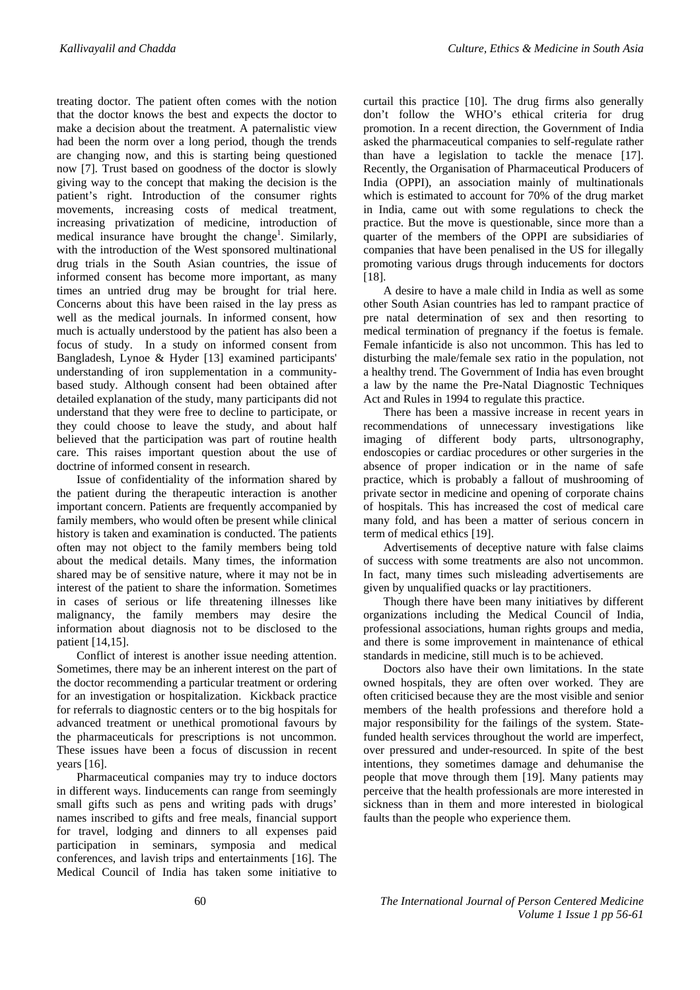treating doctor. The patient often comes with the notion that the doctor knows the best and expects the doctor to make a decision about the treatment. A paternalistic view had been the norm over a long period, though the trends are changing now, and this is starting being questioned now [7]. Trust based on goodness of the doctor is slowly giving way to the concept that making the decision is the patient's right. Introduction of the consumer rights movements, increasing costs of medical treatment, increasing privatization of medicine, introduction of medical insurance have brought the change<sup>1</sup>. Similarly, with the introduction of the West sponsored multinational drug trials in the South Asian countries, the issue of informed consent has become more important, as many times an untried drug may be brought for trial here. Concerns about this have been raised in the lay press as well as the medical journals. In informed consent, how much is actually understood by the patient has also been a focus of study. In a study on informed consent from Bangladesh, Lynoe & Hyder [13] examined participants' understanding of iron supplementation in a communitybased study. Although consent had been obtained after detailed explanation of the study, many participants did not understand that they were free to decline to participate, or they could choose to leave the study, and about half believed that the participation was part of routine health care. This raises important question about the use of doctrine of informed consent in research.

Issue of confidentiality of the information shared by the patient during the therapeutic interaction is another important concern. Patients are frequently accompanied by family members, who would often be present while clinical history is taken and examination is conducted. The patients often may not object to the family members being told about the medical details. Many times, the information shared may be of sensitive nature, where it may not be in interest of the patient to share the information. Sometimes in cases of serious or life threatening illnesses like malignancy, the family members may desire the information about diagnosis not to be disclosed to the patient [14,15].

Conflict of interest is another issue needing attention. Sometimes, there may be an inherent interest on the part of the doctor recommending a particular treatment or ordering for an investigation or hospitalization. Kickback practice for referrals to diagnostic centers or to the big hospitals for advanced treatment or unethical promotional favours by the pharmaceuticals for prescriptions is not uncommon. These issues have been a focus of discussion in recent years [16].

Pharmaceutical companies may try to induce doctors in different ways. Iinducements can range from seemingly small gifts such as pens and writing pads with drugs' names inscribed to gifts and free meals, financial support for travel, lodging and dinners to all expenses paid participation in seminars, symposia and medical conferences, and lavish trips and entertainments [16]. The Medical Council of India has taken some initiative to curtail this practice [10]. The drug firms also generally don't follow the WHO's ethical criteria for drug promotion. In a recent direction, the Government of India asked the pharmaceutical companies to self-regulate rather than have a legislation to tackle the menace [17]. Recently, the Organisation of Pharmaceutical Producers of India (OPPI), an association mainly of multinationals which is estimated to account for 70% of the drug market in India, came out with some regulations to check the practice. But the move is questionable, since more than a quarter of the members of the OPPI are subsidiaries of companies that have been penalised in the US for illegally promoting various drugs through inducements for doctors [18].

A desire to have a male child in India as well as some other South Asian countries has led to rampant practice of pre natal determination of sex and then resorting to medical termination of pregnancy if the foetus is female. Female infanticide is also not uncommon. This has led to disturbing the male/female sex ratio in the population, not a healthy trend. The Government of India has even brought a law by the name the Pre-Natal Diagnostic Techniques Act and Rules in 1994 to regulate this practice.

There has been a massive increase in recent years in recommendations of unnecessary investigations like imaging of different body parts, ultrsonography, endoscopies or cardiac procedures or other surgeries in the absence of proper indication or in the name of safe practice, which is probably a fallout of mushrooming of private sector in medicine and opening of corporate chains of hospitals. This has increased the cost of medical care many fold, and has been a matter of serious concern in term of medical ethics [19].

Advertisements of deceptive nature with false claims of success with some treatments are also not uncommon. In fact, many times such misleading advertisements are given by unqualified quacks or lay practitioners.

Though there have been many initiatives by different organizations including the Medical Council of India, professional associations, human rights groups and media, and there is some improvement in maintenance of ethical standards in medicine, still much is to be achieved.

Doctors also have their own limitations. In the state owned hospitals, they are often over worked. They are often criticised because they are the most visible and senior members of the health professions and therefore hold a major responsibility for the failings of the system. Statefunded health services throughout the world are imperfect, over pressured and under-resourced. In spite of the best intentions, they sometimes damage and dehumanise the people that move through them [19]. Many patients may perceive that the health professionals are more interested in sickness than in them and more interested in biological faults than the people who experience them.